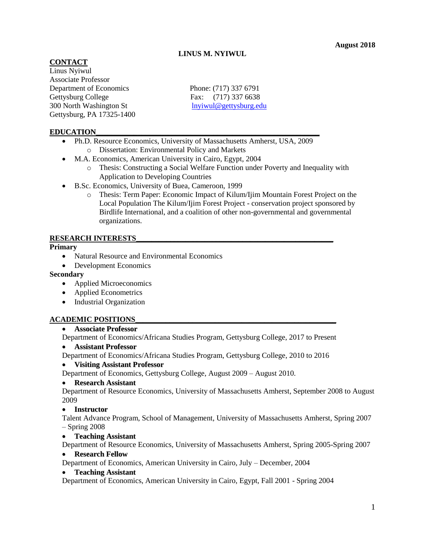# **LINUS M. NYIWUL**

### **CONTACT**

Linus Nyiwul Associate Professor Department of Economics Phone: (717) 337 6791 Gettysburg College Fax: (717) 337 6638 300 North Washington St [lnyiwul@gettysburg.edu](mailto:lnyiwul@gettysburg.edu) Gettysburg, PA 17325-1400

### **EDUCATION\_\_\_\_\_\_\_\_\_\_\_\_\_\_\_\_\_\_\_\_\_\_\_\_\_\_\_\_\_\_\_\_\_\_\_\_\_\_\_\_\_\_\_\_\_\_\_\_\_\_\_\_\_\_\_\_\_\_\_**

- Ph.D. Resource Economics, University of Massachusetts Amherst, USA, 2009 o Dissertation: Environmental Policy and Markets
- M.A. Economics, American University in Cairo, Egypt, 2004
	- o Thesis: Constructing a Social Welfare Function under Poverty and Inequality with Application to Developing Countries
- B.Sc. Economics, University of Buea, Cameroon, 1999
	- o Thesis: Term Paper: Economic Impact of Kilum/Ijim Mountain Forest Project on the Local Population The Kilum/Ijim Forest Project - conservation project sponsored by Birdlife International, and a coalition of other non-governmental and governmental organizations.

### **RESEARCH INTERESTS\_\_\_\_\_\_\_\_\_\_\_\_\_\_\_\_\_\_\_\_\_\_\_\_\_\_\_\_\_\_\_\_\_\_\_\_\_\_\_\_\_\_\_\_\_\_\_\_\_\_\_\_**

#### **Primary**

- Natural Resource and Environmental Economics
- Development Economics

#### **Secondary**

- Applied Microeconomics
- Applied Econometrics
- Industrial Organization

### **ACADEMIC POSITIONS\_\_\_\_\_\_\_\_\_\_\_\_\_\_\_\_\_\_\_\_\_\_\_\_\_\_\_\_\_\_\_\_\_\_\_\_\_\_\_\_\_\_\_\_\_\_\_\_\_\_\_\_\_**

### **Associate Professor**

Department of Economics/Africana Studies Program, Gettysburg College, 2017 to Present

### **Assistant Professor**

Department of Economics/Africana Studies Program, Gettysburg College, 2010 to 2016

# **Visiting Assistant Professor**

Department of Economics, Gettysburg College, August 2009 – August 2010.

### **Research Assistant**

Department of Resource Economics, University of Massachusetts Amherst, September 2008 to August 2009

### **Instructor**

Talent Advance Program, School of Management, University of Massachusetts Amherst, Spring 2007 – Spring 2008

### **Teaching Assistant**

Department of Resource Economics, University of Massachusetts Amherst, Spring 2005-Spring 2007

### **Research Fellow**

Department of Economics, American University in Cairo, July – December, 2004

### **Teaching Assistant**

Department of Economics, American University in Cairo, Egypt, Fall 2001 - Spring 2004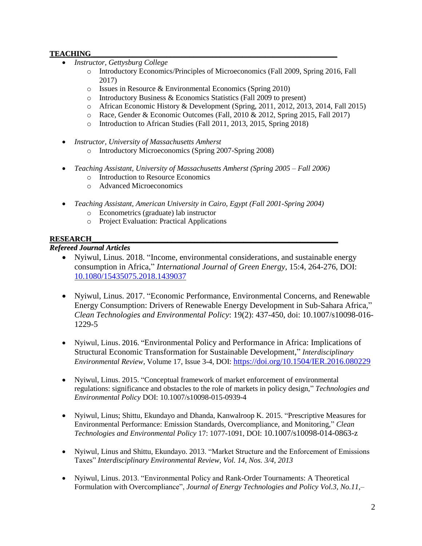# **TEACHING**

- *Instructor, Gettysburg College*
	- o Introductory Economics/Principles of Microeconomics (Fall 2009, Spring 2016, Fall 2017)
	- o Issues in Resource & Environmental Economics (Spring 2010)
	- o Introductory Business & Economics Statistics (Fall 2009 to present)
	- o African Economic History & Development (Spring, 2011, 2012, 2013, 2014, Fall 2015)
	- o Race, Gender & Economic Outcomes (Fall, 2010 & 2012, Spring 2015, Fall 2017)
	- o Introduction to African Studies (Fall 2011, 2013, 2015, Spring 2018)
- *Instructor, University of Massachusetts Amherst*
	- o Introductory Microeconomics (Spring 2007-Spring 2008)
- *Teaching Assistant, University of Massachusetts Amherst (Spring 2005 – Fall 2006)*
	- o Introduction to Resource Economics
	- o Advanced Microeconomics
- *Teaching Assistant, American University in Cairo, Egypt (Fall 2001-Spring 2004)*
	- o Econometrics (graduate) lab instructor
	- o Project Evaluation: Practical Applications

## **RESEARCH\_\_\_\_\_\_\_\_\_\_\_\_\_\_\_\_\_\_\_\_\_\_\_\_\_\_\_\_\_\_\_\_\_\_\_\_\_\_\_\_\_\_\_\_\_\_\_\_\_\_\_\_\_\_\_\_\_\_\_\_\_\_\_\_\_**

## *Refereed Journal Articles*

- Nyiwul, Linus. 2018. "Income, environmental considerations, and sustainable energy consumption in Africa," *International Journal of Green Energy*, 15:4, 264-276, DOI: [10.1080/15435075.2018.1439037](https://doi.org/10.1080/15435075.2018.1439037)
- Nyiwul, Linus. 2017. "Economic Performance, Environmental Concerns, and Renewable Energy Consumption: Drivers of Renewable Energy Development in Sub-Sahara Africa," *Clean Technologies and Environmental Policy*: 19(2): 437-450, doi: 10.1007/s10098-016- 1229-5
- Nyiwul, Linus. 2016. "Environmental Policy and Performance in Africa: Implications of Structural Economic Transformation for Sustainable Development," *Interdisciplinary Environmental Review,* Volume 17, Issue 3-4, DOI: <https://doi.org/10.1504/IER.2016.080229>
- Nyiwul, Linus. 2015. "Conceptual framework of market enforcement of environmental regulations: significance and obstacles to the role of markets in policy design," *Technologies and Environmental Policy* DOI: 10.1007/s10098-015-0939-4
- Nyiwul, Linus; Shittu, Ekundayo and Dhanda, Kanwalroop K. 2015. "Prescriptive Measures for Environmental Performance: Emission Standards, Overcompliance, and Monitoring," *Clean Technologies and Environmental Policy* 17: 1077-1091, DOI: 10.1007/s10098-014-0863-z
- Nyiwul, Linus and Shittu, Ekundayo. 2013. "Market Structure and the Enforcement of Emissions Taxes" *Interdisciplinary Environmental Review, Vol. 14, Nos. 3/4, 2013*
- Nyiwul, Linus. 2013. "Environmental Policy and Rank-Order Tournaments: A Theoretical Formulation with Overcompliance", *Journal of Energy Technologies and Policy Vol.3, No.11,*–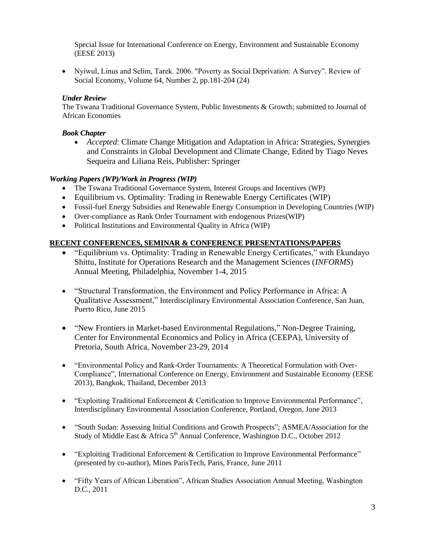Special Issue for International Conference on Energy, Environment and Sustainable Economy (EESE 2013)

 Nyiwul, Linus and Selim, Tarek. 2006. "Poverty as Social Deprivation: A Survey". Review of Social Economy, Volume 64, Number 2, pp.181-204 (24)

### *Under Review*

The Tswana Traditional Governance System, Public Investments & Growth; submitted to Journal of African Economies

### *Book Chapter*

 *Accepted*: Climate Change Mitigation and Adaptation in Africa: Strategies, Synergies and Constraints in Global Development and Climate Change, Edited by Tiago Neves Sequeira and Liliana Reis, Publisher: Springer

## *Working Papers (WP)/Work in Progress (WIP)*

- The Tswana Traditional Governance System, Interest Groups and Incentives (WP)
- Equilibrium vs. Optimality: Trading in Renewable Energy Certificates (WIP)
- Fossil-fuel Energy Subsidies and Renewable Energy Consumption in Developing Countries (WIP)
- Over-compliance as Rank Order Tournament with endogenous Prizes(WIP)
- Political Institutions and Environmental Quality in Africa (WIP)

### **RECENT CONFERENCES, SEMINAR & CONFERENCE PRESENTATIONS/PAPERS**

- "Equilibrium vs. Optimality: Trading in Renewable Energy Certificates," with Ekundayo Shittu, Institute for Operations Research and the Management Sciences (*INFORMS*) Annual Meeting, Philadelphia, November 1-4, 2015
- "Structural Transformation, the Environment and Policy Performance in Africa: A Qualitative Assessment," Interdisciplinary Environmental Association Conference, San Juan, Puerto Rico, June 2015
- "New Frontiers in Market-based Environmental Regulations," Non-Degree Training, Center for Environmental Economics and Policy in Africa (CEEPA), University of Pretoria, South Africa, November 23-29, 2014
- "Environmental Policy and Rank-Order Tournaments: A Theoretical Formulation with Over-Compliance", International Conference on Energy, Environment and Sustainable Economy (EESE 2013), Bangkok, Thailand, December 2013
- "Exploiting Traditional Enforcement & Certification to Improve Environmental Performance", Interdisciplinary Environmental Association Conference, Portland, Oregon, June 2013
- "South Sudan: Assessing Initial Conditions and Growth Prospects"; ASMEA/Association for the Study of Middle East & Africa  $5<sup>th</sup>$  Annual Conference, Washington D.C., October 2012
- "Exploiting Traditional Enforcement & Certification to Improve Environmental Performance" (presented by co-author), Mines ParisTech, Paris, France, June 2011
- "Fifty Years of African Liberation", African Studies Association Annual Meeting, Washington D.C., 2011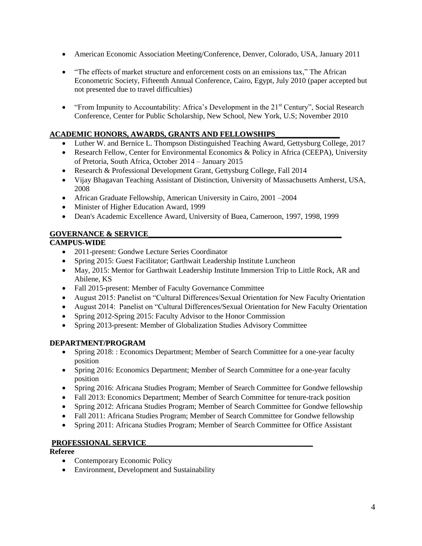- American Economic Association Meeting/Conference, Denver, Colorado, USA, January 2011
- "The effects of market structure and enforcement costs on an emissions tax," The African Econometric Society, Fifteenth Annual Conference, Cairo, Egypt, July 2010 (paper accepted but not presented due to travel difficulties)
- "From Impunity to Accountability: Africa's Development in the  $21<sup>st</sup>$  Century", Social Research Conference, Center for Public Scholarship, New School, New York, U.S; November 2010

### **ACADEMIC HONORS, AWARDS, GRANTS AND FELLOWSHIPS\_\_\_\_\_\_\_\_\_\_\_\_\_\_\_\_\_**

- Luther W. and Bernice L. Thompson Distinguished Teaching Award, Gettysburg College, 2017
- Research Fellow, Center for Environmental Economics & Policy in Africa (CEEPA), University of Pretoria, South Africa, October 2014 – January 2015
- Research & Professional Development Grant, Gettysburg College, Fall 2014
- Vijay Bhagavan Teaching Assistant of Distinction, University of Massachusetts Amherst, USA, 2008
- African Graduate Fellowship, American University in Cairo, 2001 –2004
- Minister of Higher Education Award, 1999
- Dean's Academic Excellence Award, University of Buea, Cameroon, 1997, 1998, 1999

### **GOVERNANCE & SERVICE\_\_\_\_\_\_\_\_\_\_\_\_\_\_\_\_\_\_\_\_\_\_\_\_\_\_\_\_\_\_\_\_\_\_\_\_\_\_\_\_\_\_\_\_\_\_\_\_\_\_\_**

### **CAMPUS-WIDE**

- 2011-present: Gondwe Lecture Series Coordinator
- Spring 2015: Guest Facilitator; Garthwait Leadership Institute Luncheon
- May, 2015: Mentor for Garthwait Leadership Institute Immersion Trip to Little Rock, AR and Abilene, KS
- Fall 2015-present: Member of Faculty Governance Committee
- August 2015: Panelist on "Cultural Differences/Sexual Orientation for New Faculty Orientation
- August 2014: Panelist on "Cultural Differences/Sexual Orientation for New Faculty Orientation
- Spring 2012-Spring 2015: Faculty Advisor to the Honor Commission
- Spring 2013-present: Member of Globalization Studies Advisory Committee

### **DEPARTMENT/PROGRAM**

- Spring 2018: : Economics Department; Member of Search Committee for a one-year faculty position
- Spring 2016: Economics Department; Member of Search Committee for a one-year faculty position
- Spring 2016: Africana Studies Program; Member of Search Committee for Gondwe fellowship
- Fall 2013: Economics Department; Member of Search Committee for tenure-track position
- Spring 2012: Africana Studies Program; Member of Search Committee for Gondwe fellowship
- Fall 2011: Africana Studies Program; Member of Search Committee for Gondwe fellowship
- Spring 2011: Africana Studies Program; Member of Search Committee for Office Assistant

### **PROFESSIONAL SERVICE\_\_\_\_\_\_\_\_\_\_\_\_\_\_\_\_\_\_\_\_\_\_\_\_\_\_\_\_\_\_\_\_\_\_\_\_\_\_\_\_\_\_\_\_**

**Referee**

- Contemporary Economic Policy
- Environment, Development and Sustainability